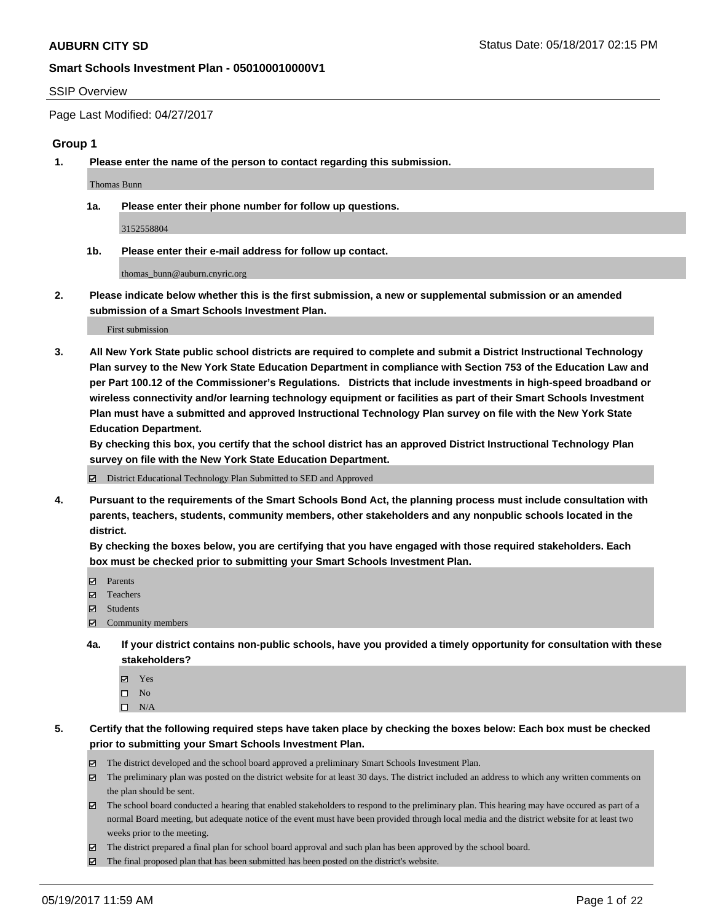#### SSIP Overview

Page Last Modified: 04/27/2017

#### **Group 1**

**1. Please enter the name of the person to contact regarding this submission.**

Thomas Bunn

**1a. Please enter their phone number for follow up questions.**

3152558804

**1b. Please enter their e-mail address for follow up contact.**

thomas\_bunn@auburn.cnyric.org

**2. Please indicate below whether this is the first submission, a new or supplemental submission or an amended submission of a Smart Schools Investment Plan.**

First submission

**3. All New York State public school districts are required to complete and submit a District Instructional Technology Plan survey to the New York State Education Department in compliance with Section 753 of the Education Law and per Part 100.12 of the Commissioner's Regulations. Districts that include investments in high-speed broadband or wireless connectivity and/or learning technology equipment or facilities as part of their Smart Schools Investment Plan must have a submitted and approved Instructional Technology Plan survey on file with the New York State Education Department.** 

**By checking this box, you certify that the school district has an approved District Instructional Technology Plan survey on file with the New York State Education Department.**

District Educational Technology Plan Submitted to SED and Approved

**4. Pursuant to the requirements of the Smart Schools Bond Act, the planning process must include consultation with parents, teachers, students, community members, other stakeholders and any nonpublic schools located in the district.** 

**By checking the boxes below, you are certifying that you have engaged with those required stakeholders. Each box must be checked prior to submitting your Smart Schools Investment Plan.**

- **マ** Parents
- □ Teachers
- Students
- $\Xi$  Community members
- **4a. If your district contains non-public schools, have you provided a timely opportunity for consultation with these stakeholders?**
	- Yes
	- $\hfill \square$  No
	- $\square$  N/A
- **5. Certify that the following required steps have taken place by checking the boxes below: Each box must be checked prior to submitting your Smart Schools Investment Plan.**
	- The district developed and the school board approved a preliminary Smart Schools Investment Plan.
	- $\boxtimes$  The preliminary plan was posted on the district website for at least 30 days. The district included an address to which any written comments on the plan should be sent.
	- $\boxtimes$  The school board conducted a hearing that enabled stakeholders to respond to the preliminary plan. This hearing may have occured as part of a normal Board meeting, but adequate notice of the event must have been provided through local media and the district website for at least two weeks prior to the meeting.
	- The district prepared a final plan for school board approval and such plan has been approved by the school board.
	- $\boxtimes$  The final proposed plan that has been submitted has been posted on the district's website.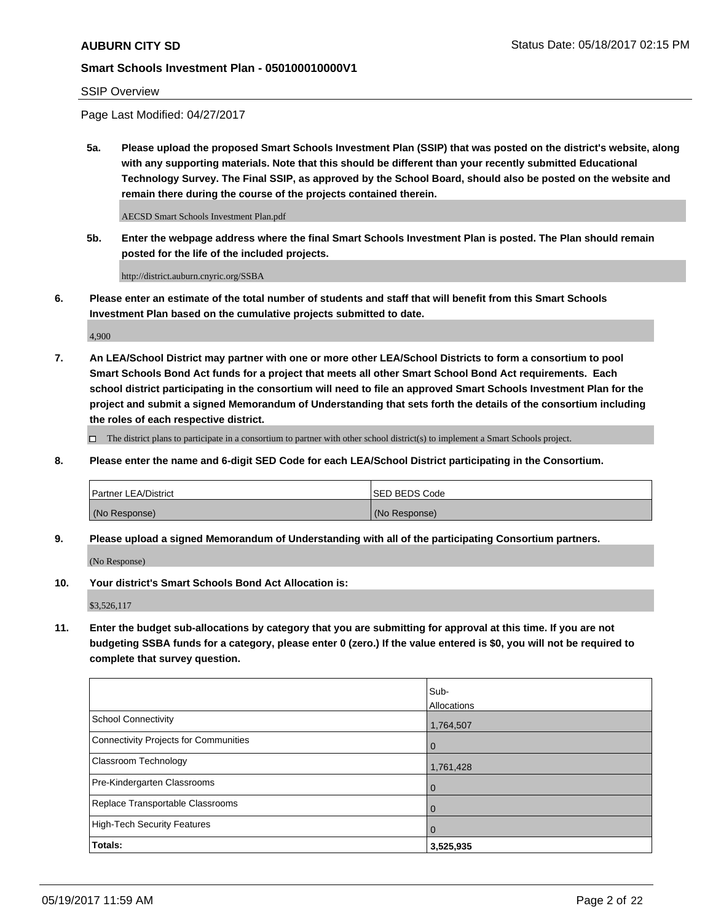### SSIP Overview

Page Last Modified: 04/27/2017

**5a. Please upload the proposed Smart Schools Investment Plan (SSIP) that was posted on the district's website, along with any supporting materials. Note that this should be different than your recently submitted Educational Technology Survey. The Final SSIP, as approved by the School Board, should also be posted on the website and remain there during the course of the projects contained therein.**

AECSD Smart Schools Investment Plan.pdf

**5b. Enter the webpage address where the final Smart Schools Investment Plan is posted. The Plan should remain posted for the life of the included projects.**

http://district.auburn.cnyric.org/SSBA

**6. Please enter an estimate of the total number of students and staff that will benefit from this Smart Schools Investment Plan based on the cumulative projects submitted to date.**

4,900

**7. An LEA/School District may partner with one or more other LEA/School Districts to form a consortium to pool Smart Schools Bond Act funds for a project that meets all other Smart School Bond Act requirements. Each school district participating in the consortium will need to file an approved Smart Schools Investment Plan for the project and submit a signed Memorandum of Understanding that sets forth the details of the consortium including the roles of each respective district.**

 $\Box$  The district plans to participate in a consortium to partner with other school district(s) to implement a Smart Schools project.

**8. Please enter the name and 6-digit SED Code for each LEA/School District participating in the Consortium.**

| <b>Partner LEA/District</b> | <b>ISED BEDS Code</b> |
|-----------------------------|-----------------------|
| (No Response)               | (No Response)         |

**9. Please upload a signed Memorandum of Understanding with all of the participating Consortium partners.**

(No Response)

**10. Your district's Smart Schools Bond Act Allocation is:**

\$3,526,117

**11. Enter the budget sub-allocations by category that you are submitting for approval at this time. If you are not budgeting SSBA funds for a category, please enter 0 (zero.) If the value entered is \$0, you will not be required to complete that survey question.**

|                                       | Sub-        |
|---------------------------------------|-------------|
|                                       | Allocations |
| <b>School Connectivity</b>            | 1,764,507   |
| Connectivity Projects for Communities | $\mathbf 0$ |
| <b>Classroom Technology</b>           | 1,761,428   |
| Pre-Kindergarten Classrooms           | 0           |
| Replace Transportable Classrooms      | 0           |
| <b>High-Tech Security Features</b>    | 0           |
| Totals:                               | 3,525,935   |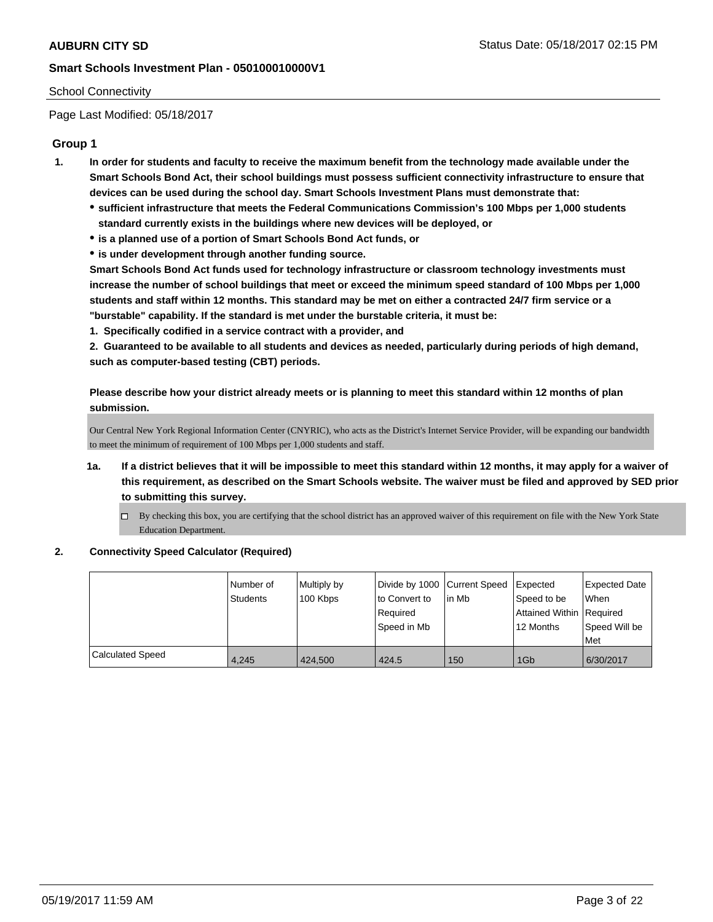## School Connectivity

Page Last Modified: 05/18/2017

# **Group 1**

- **1. In order for students and faculty to receive the maximum benefit from the technology made available under the Smart Schools Bond Act, their school buildings must possess sufficient connectivity infrastructure to ensure that devices can be used during the school day. Smart Schools Investment Plans must demonstrate that:**
	- **sufficient infrastructure that meets the Federal Communications Commission's 100 Mbps per 1,000 students standard currently exists in the buildings where new devices will be deployed, or**
	- **is a planned use of a portion of Smart Schools Bond Act funds, or**
	- **is under development through another funding source.**

**Smart Schools Bond Act funds used for technology infrastructure or classroom technology investments must increase the number of school buildings that meet or exceed the minimum speed standard of 100 Mbps per 1,000 students and staff within 12 months. This standard may be met on either a contracted 24/7 firm service or a "burstable" capability. If the standard is met under the burstable criteria, it must be:**

**1. Specifically codified in a service contract with a provider, and**

**2. Guaranteed to be available to all students and devices as needed, particularly during periods of high demand, such as computer-based testing (CBT) periods.**

**Please describe how your district already meets or is planning to meet this standard within 12 months of plan submission.**

Our Central New York Regional Information Center (CNYRIC), who acts as the District's Internet Service Provider, will be expanding our bandwidth to meet the minimum of requirement of 100 Mbps per 1,000 students and staff.

- **1a. If a district believes that it will be impossible to meet this standard within 12 months, it may apply for a waiver of this requirement, as described on the Smart Schools website. The waiver must be filed and approved by SED prior to submitting this survey.**
	- By checking this box, you are certifying that the school district has an approved waiver of this requirement on file with the New York State Education Department.
- **2. Connectivity Speed Calculator (Required)**

|                         | l Number of<br>Students | Multiply by<br>100 Kbps | Divide by 1000 Current Speed<br>to Convert to<br>Reauired<br>Speed in Mb | in Mb | <b>Expected</b><br>Speed to be<br>Attained Within Required<br>12 Months | <b>Expected Date</b><br><b>When</b><br>Speed Will be<br>Met |
|-------------------------|-------------------------|-------------------------|--------------------------------------------------------------------------|-------|-------------------------------------------------------------------------|-------------------------------------------------------------|
| <b>Calculated Speed</b> | 4,245                   | 424.500                 | 424.5                                                                    | 150   | 1G <sub>b</sub>                                                         | 6/30/2017                                                   |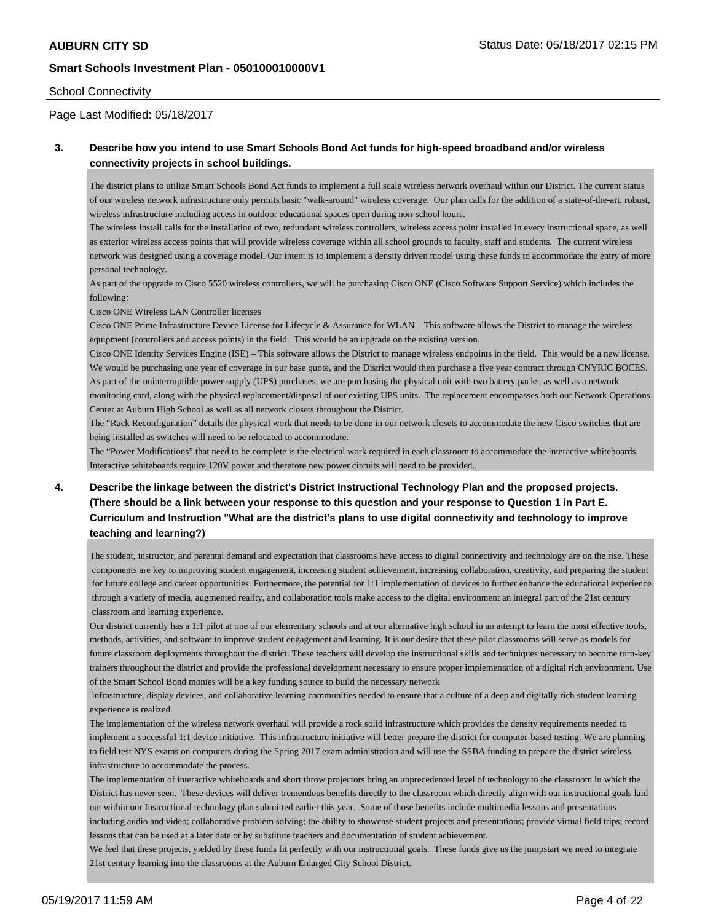#### School Connectivity

Page Last Modified: 05/18/2017

# **3. Describe how you intend to use Smart Schools Bond Act funds for high-speed broadband and/or wireless connectivity projects in school buildings.**

The district plans to utilize Smart Schools Bond Act funds to implement a full scale wireless network overhaul within our District. The current status of our wireless network infrastructure only permits basic "walk-around" wireless coverage. Our plan calls for the addition of a state-of-the-art, robust, wireless infrastructure including access in outdoor educational spaces open during non-school hours.

The wireless install calls for the installation of two, redundant wireless controllers, wireless access point installed in every instructional space, as well as exterior wireless access points that will provide wireless coverage within all school grounds to faculty, staff and students. The current wireless network was designed using a coverage model. Our intent is to implement a density driven model using these funds to accommodate the entry of more personal technology.

As part of the upgrade to Cisco 5520 wireless controllers, we will be purchasing Cisco ONE (Cisco Software Support Service) which includes the following:

Cisco ONE Wireless LAN Controller licenses

Cisco ONE Prime Infrastructure Device License for Lifecycle & Assurance for WLAN – This software allows the District to manage the wireless equipment (controllers and access points) in the field. This would be an upgrade on the existing version.

Cisco ONE Identity Services Engine (ISE) – This software allows the District to manage wireless endpoints in the field. This would be a new license. We would be purchasing one year of coverage in our base quote, and the District would then purchase a five year contract through CNYRIC BOCES. As part of the uninterruptible power supply (UPS) purchases, we are purchasing the physical unit with two battery packs, as well as a network monitoring card, along with the physical replacement/disposal of our existing UPS units. The replacement encompasses both our Network Operations Center at Auburn High School as well as all network closets throughout the District.

The "Rack Reconfiguration" details the physical work that needs to be done in our network closets to accommodate the new Cisco switches that are being installed as switches will need to be relocated to accommodate.

The "Power Modifications" that need to be complete is the electrical work required in each classroom to accommodate the interactive whiteboards. Interactive whiteboards require 120V power and therefore new power circuits will need to be provided.

# **4. Describe the linkage between the district's District Instructional Technology Plan and the proposed projects. (There should be a link between your response to this question and your response to Question 1 in Part E. Curriculum and Instruction "What are the district's plans to use digital connectivity and technology to improve teaching and learning?)**

The student, instructor, and parental demand and expectation that classrooms have access to digital connectivity and technology are on the rise. These components are key to improving student engagement, increasing student achievement, increasing collaboration, creativity, and preparing the student for future college and career opportunities. Furthermore, the potential for 1:1 implementation of devices to further enhance the educational experience through a variety of media, augmented reality, and collaboration tools make access to the digital environment an integral part of the 21st century classroom and learning experience.

Our district currently has a 1:1 pilot at one of our elementary schools and at our alternative high school in an attempt to learn the most effective tools, methods, activities, and software to improve student engagement and learning. It is our desire that these pilot classrooms will serve as models for future classroom deployments throughout the district. These teachers will develop the instructional skills and techniques necessary to become turn-key trainers throughout the district and provide the professional development necessary to ensure proper implementation of a digital rich environment. Use of the Smart School Bond monies will be a key funding source to build the necessary network

 infrastructure, display devices, and collaborative learning communities needed to ensure that a culture of a deep and digitally rich student learning experience is realized.

The implementation of the wireless network overhaul will provide a rock solid infrastructure which provides the density requirements needed to implement a successful 1:1 device initiative. This infrastructure initiative will better prepare the district for computer-based testing. We are planning to field test NYS exams on computers during the Spring 2017 exam administration and will use the SSBA funding to prepare the district wireless infrastructure to accommodate the process.

The implementation of interactive whiteboards and short throw projectors bring an unprecedented level of technology to the classroom in which the District has never seen. These devices will deliver tremendous benefits directly to the classroom which directly align with our instructional goals laid out within our Instructional technology plan submitted earlier this year. Some of those benefits include multimedia lessons and presentations including audio and video; collaborative problem solving; the ability to showcase student projects and presentations; provide virtual field trips; record lessons that can be used at a later date or by substitute teachers and documentation of student achievement.

We feel that these projects, yielded by these funds fit perfectly with our instructional goals. These funds give us the jumpstart we need to integrate 21st century learning into the classrooms at the Auburn Enlarged City School District.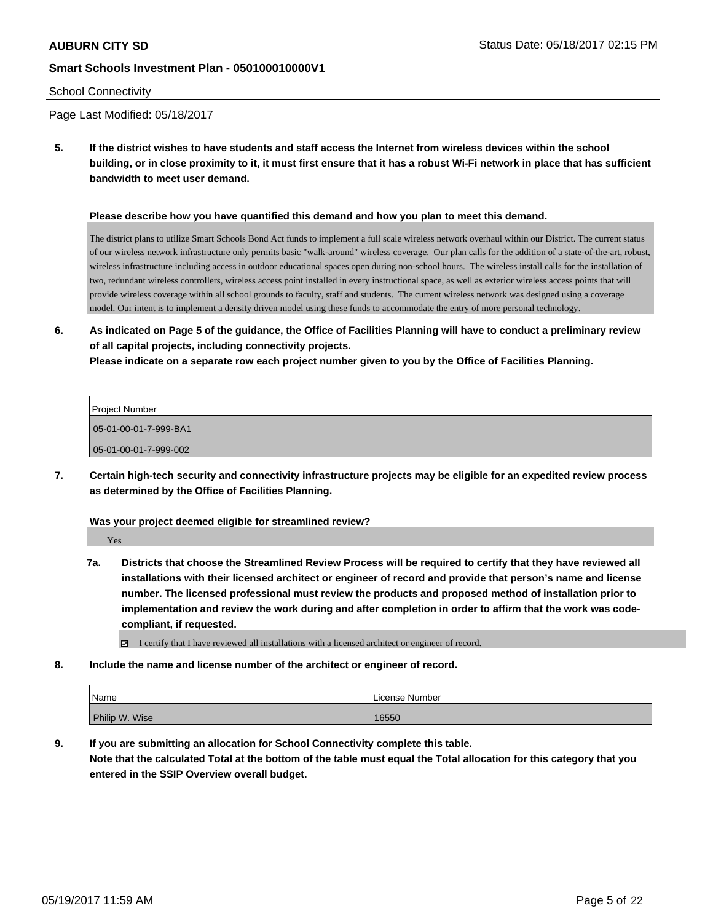#### School Connectivity

Page Last Modified: 05/18/2017

**5. If the district wishes to have students and staff access the Internet from wireless devices within the school building, or in close proximity to it, it must first ensure that it has a robust Wi-Fi network in place that has sufficient bandwidth to meet user demand.**

#### **Please describe how you have quantified this demand and how you plan to meet this demand.**

The district plans to utilize Smart Schools Bond Act funds to implement a full scale wireless network overhaul within our District. The current status of our wireless network infrastructure only permits basic "walk-around" wireless coverage. Our plan calls for the addition of a state-of-the-art, robust, wireless infrastructure including access in outdoor educational spaces open during non-school hours. The wireless install calls for the installation of two, redundant wireless controllers, wireless access point installed in every instructional space, as well as exterior wireless access points that will provide wireless coverage within all school grounds to faculty, staff and students. The current wireless network was designed using a coverage model. Our intent is to implement a density driven model using these funds to accommodate the entry of more personal technology.

**6. As indicated on Page 5 of the guidance, the Office of Facilities Planning will have to conduct a preliminary review of all capital projects, including connectivity projects.**

**Please indicate on a separate row each project number given to you by the Office of Facilities Planning.**

| Project Number        |
|-----------------------|
| 05-01-00-01-7-999-BA1 |
| 05-01-00-01-7-999-002 |

**7. Certain high-tech security and connectivity infrastructure projects may be eligible for an expedited review process as determined by the Office of Facilities Planning.**

#### **Was your project deemed eligible for streamlined review?**

Yes

**7a. Districts that choose the Streamlined Review Process will be required to certify that they have reviewed all installations with their licensed architect or engineer of record and provide that person's name and license number. The licensed professional must review the products and proposed method of installation prior to implementation and review the work during and after completion in order to affirm that the work was codecompliant, if requested.**

 $\boxtimes$  I certify that I have reviewed all installations with a licensed architect or engineer of record.

**8. Include the name and license number of the architect or engineer of record.**

| Name           | License Number |
|----------------|----------------|
| Philip W. Wise | 16550          |

**9. If you are submitting an allocation for School Connectivity complete this table. Note that the calculated Total at the bottom of the table must equal the Total allocation for this category that you entered in the SSIP Overview overall budget.**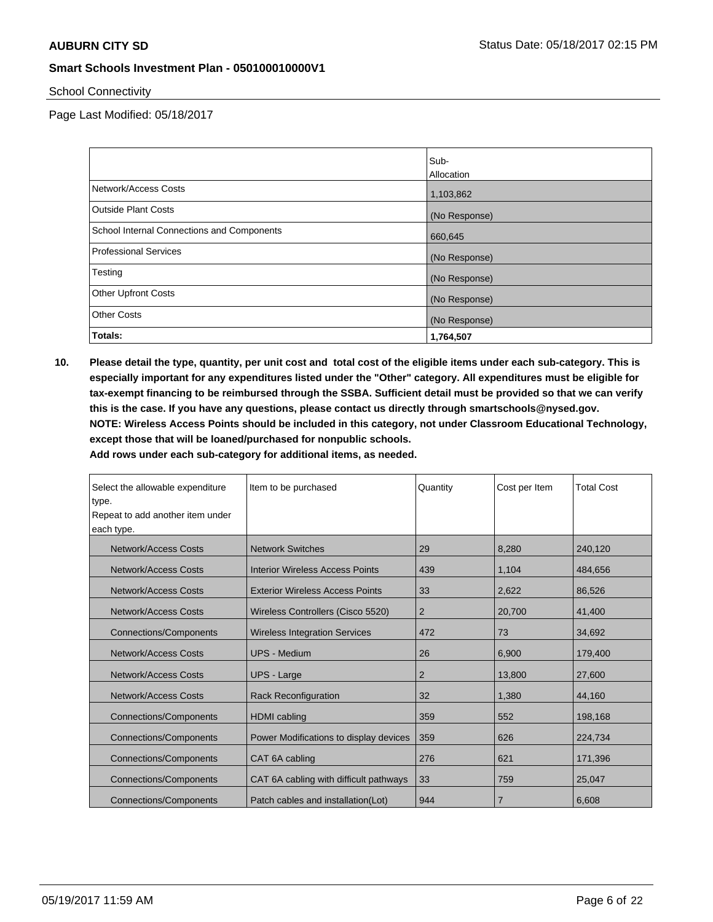School Connectivity

Page Last Modified: 05/18/2017

|                                            | Sub-          |
|--------------------------------------------|---------------|
|                                            | Allocation    |
| Network/Access Costs                       | 1,103,862     |
| <b>Outside Plant Costs</b>                 | (No Response) |
| School Internal Connections and Components | 660,645       |
| <b>Professional Services</b>               | (No Response) |
| Testing                                    | (No Response) |
| <b>Other Upfront Costs</b>                 | (No Response) |
| <b>Other Costs</b>                         | (No Response) |
| Totals:                                    | 1,764,507     |

**10. Please detail the type, quantity, per unit cost and total cost of the eligible items under each sub-category. This is especially important for any expenditures listed under the "Other" category. All expenditures must be eligible for tax-exempt financing to be reimbursed through the SSBA. Sufficient detail must be provided so that we can verify this is the case. If you have any questions, please contact us directly through smartschools@nysed.gov. NOTE: Wireless Access Points should be included in this category, not under Classroom Educational Technology, except those that will be loaned/purchased for nonpublic schools.**

| Select the allowable expenditure<br>type. | Item to be purchased                   | Quantity       | Cost per Item  | <b>Total Cost</b> |
|-------------------------------------------|----------------------------------------|----------------|----------------|-------------------|
| Repeat to add another item under          |                                        |                |                |                   |
| each type.                                |                                        |                |                |                   |
| <b>Network/Access Costs</b>               | <b>Network Switches</b>                | 29             | 8,280          | 240,120           |
| <b>Network/Access Costs</b>               | <b>Interior Wireless Access Points</b> | 439            | 1,104          | 484.656           |
| Network/Access Costs                      | <b>Exterior Wireless Access Points</b> | 33             | 2,622          | 86,526            |
| Network/Access Costs                      | Wireless Controllers (Cisco 5520)      | $\overline{2}$ | 20,700         | 41,400            |
| <b>Connections/Components</b>             | <b>Wireless Integration Services</b>   | 472            | 73             | 34,692            |
| Network/Access Costs                      | UPS - Medium                           | 26             | 6.900          | 179,400           |
| <b>Network/Access Costs</b>               | <b>UPS - Large</b>                     | $\overline{2}$ | 13,800         | 27,600            |
| Network/Access Costs                      | <b>Rack Reconfiguration</b>            | 32             | 1,380          | 44,160            |
| <b>Connections/Components</b>             | <b>HDMI</b> cabling                    | 359            | 552            | 198,168           |
| <b>Connections/Components</b>             | Power Modifications to display devices | 359            | 626            | 224,734           |
| <b>Connections/Components</b>             | CAT 6A cabling                         | 276            | 621            | 171,396           |
| <b>Connections/Components</b>             | CAT 6A cabling with difficult pathways | 33             | 759            | 25,047            |
| <b>Connections/Components</b>             | Patch cables and installation(Lot)     | 944            | $\overline{7}$ | 6,608             |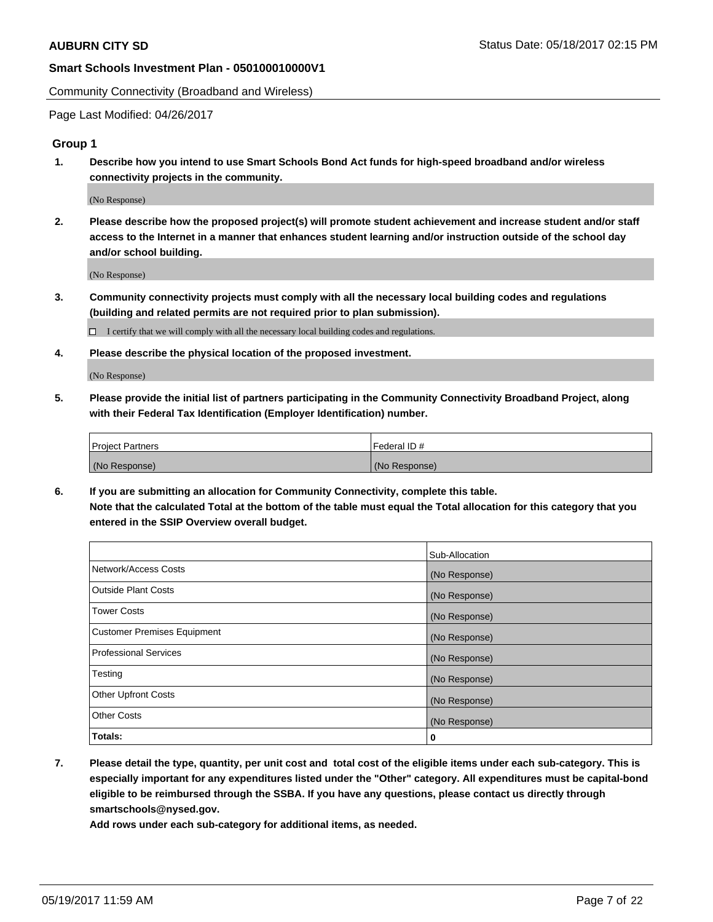Community Connectivity (Broadband and Wireless)

Page Last Modified: 04/26/2017

### **Group 1**

**1. Describe how you intend to use Smart Schools Bond Act funds for high-speed broadband and/or wireless connectivity projects in the community.**

(No Response)

**2. Please describe how the proposed project(s) will promote student achievement and increase student and/or staff access to the Internet in a manner that enhances student learning and/or instruction outside of the school day and/or school building.**

(No Response)

**3. Community connectivity projects must comply with all the necessary local building codes and regulations (building and related permits are not required prior to plan submission).**

 $\Box$  I certify that we will comply with all the necessary local building codes and regulations.

**4. Please describe the physical location of the proposed investment.**

(No Response)

**5. Please provide the initial list of partners participating in the Community Connectivity Broadband Project, along with their Federal Tax Identification (Employer Identification) number.**

| <b>Project Partners</b> | Federal ID#     |
|-------------------------|-----------------|
| (No Response)           | l (No Response) |

**6. If you are submitting an allocation for Community Connectivity, complete this table. Note that the calculated Total at the bottom of the table must equal the Total allocation for this category that you entered in the SSIP Overview overall budget.**

|                                    | Sub-Allocation |
|------------------------------------|----------------|
| Network/Access Costs               | (No Response)  |
| Outside Plant Costs                | (No Response)  |
| <b>Tower Costs</b>                 | (No Response)  |
| <b>Customer Premises Equipment</b> | (No Response)  |
| <b>Professional Services</b>       | (No Response)  |
| Testing                            | (No Response)  |
| <b>Other Upfront Costs</b>         | (No Response)  |
| <b>Other Costs</b>                 | (No Response)  |
| Totals:                            | 0              |

**7. Please detail the type, quantity, per unit cost and total cost of the eligible items under each sub-category. This is especially important for any expenditures listed under the "Other" category. All expenditures must be capital-bond eligible to be reimbursed through the SSBA. If you have any questions, please contact us directly through smartschools@nysed.gov.**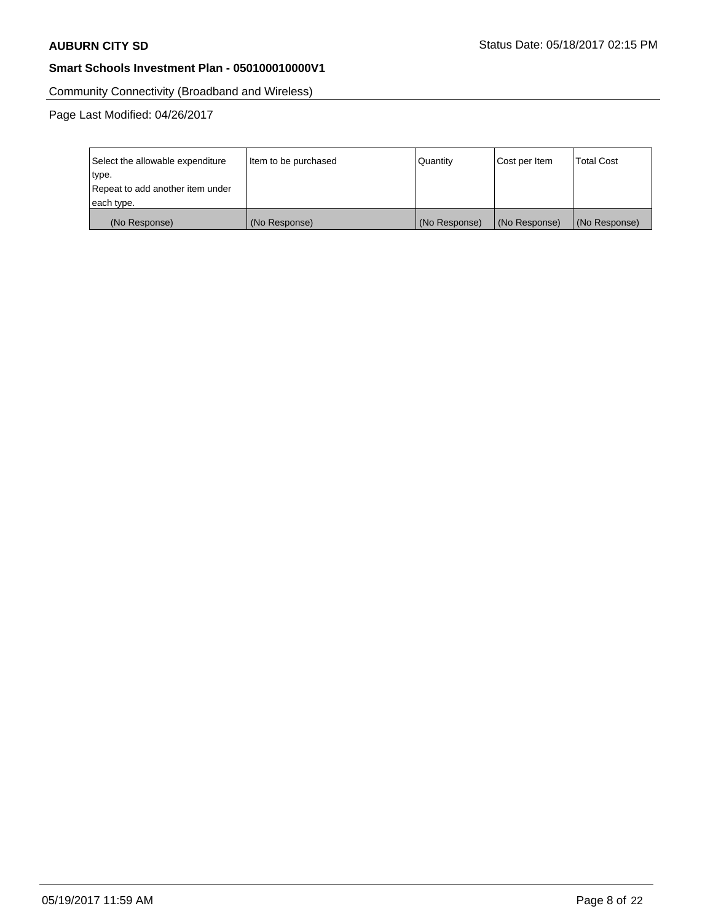Community Connectivity (Broadband and Wireless)

| Select the allowable expenditure | Item to be purchased | Quantity      | Cost per Item | <b>Total Cost</b> |
|----------------------------------|----------------------|---------------|---------------|-------------------|
| type.                            |                      |               |               |                   |
| Repeat to add another item under |                      |               |               |                   |
| each type.                       |                      |               |               |                   |
| (No Response)                    | (No Response)        | (No Response) | (No Response) | (No Response)     |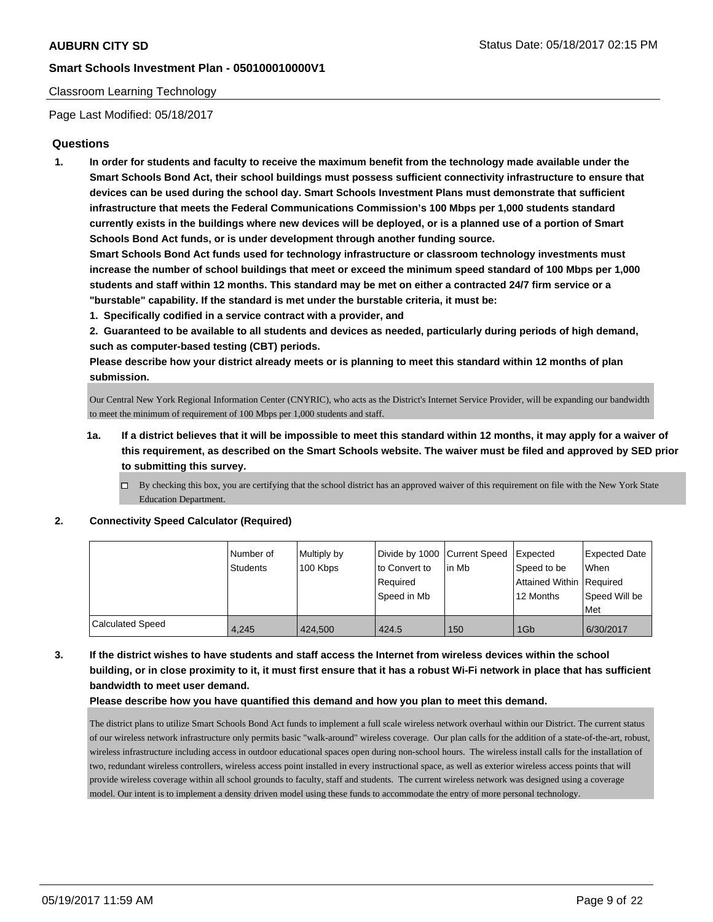### Classroom Learning Technology

Page Last Modified: 05/18/2017

## **Questions**

**1. In order for students and faculty to receive the maximum benefit from the technology made available under the Smart Schools Bond Act, their school buildings must possess sufficient connectivity infrastructure to ensure that devices can be used during the school day. Smart Schools Investment Plans must demonstrate that sufficient infrastructure that meets the Federal Communications Commission's 100 Mbps per 1,000 students standard currently exists in the buildings where new devices will be deployed, or is a planned use of a portion of Smart Schools Bond Act funds, or is under development through another funding source.**

**Smart Schools Bond Act funds used for technology infrastructure or classroom technology investments must increase the number of school buildings that meet or exceed the minimum speed standard of 100 Mbps per 1,000 students and staff within 12 months. This standard may be met on either a contracted 24/7 firm service or a "burstable" capability. If the standard is met under the burstable criteria, it must be:**

**1. Specifically codified in a service contract with a provider, and**

**2. Guaranteed to be available to all students and devices as needed, particularly during periods of high demand, such as computer-based testing (CBT) periods.**

**Please describe how your district already meets or is planning to meet this standard within 12 months of plan submission.**

Our Central New York Regional Information Center (CNYRIC), who acts as the District's Internet Service Provider, will be expanding our bandwidth to meet the minimum of requirement of 100 Mbps per 1,000 students and staff.

- **1a. If a district believes that it will be impossible to meet this standard within 12 months, it may apply for a waiver of this requirement, as described on the Smart Schools website. The waiver must be filed and approved by SED prior to submitting this survey.**
	- $\Box$  By checking this box, you are certifying that the school district has an approved waiver of this requirement on file with the New York State Education Department.

#### **2. Connectivity Speed Calculator (Required)**

|                  | l Number of<br>Students | Multiply by<br>100 Kbps | to Convert to           | Divide by 1000 Current Speed Expected<br>l in Mb | Speed to be                           | Expected Date<br>When |
|------------------|-------------------------|-------------------------|-------------------------|--------------------------------------------------|---------------------------------------|-----------------------|
|                  |                         |                         | Reauired<br>Speed in Mb |                                                  | Attained Within Required<br>12 Months | Speed Will be<br>Met  |
| Calculated Speed | 4.245                   | 424,500                 | 424.5                   | 150                                              | 1G <sub>b</sub>                       | 6/30/2017             |

**3. If the district wishes to have students and staff access the Internet from wireless devices within the school building, or in close proximity to it, it must first ensure that it has a robust Wi-Fi network in place that has sufficient bandwidth to meet user demand.**

#### **Please describe how you have quantified this demand and how you plan to meet this demand.**

The district plans to utilize Smart Schools Bond Act funds to implement a full scale wireless network overhaul within our District. The current status of our wireless network infrastructure only permits basic "walk-around" wireless coverage. Our plan calls for the addition of a state-of-the-art, robust, wireless infrastructure including access in outdoor educational spaces open during non-school hours. The wireless install calls for the installation of two, redundant wireless controllers, wireless access point installed in every instructional space, as well as exterior wireless access points that will provide wireless coverage within all school grounds to faculty, staff and students. The current wireless network was designed using a coverage model. Our intent is to implement a density driven model using these funds to accommodate the entry of more personal technology.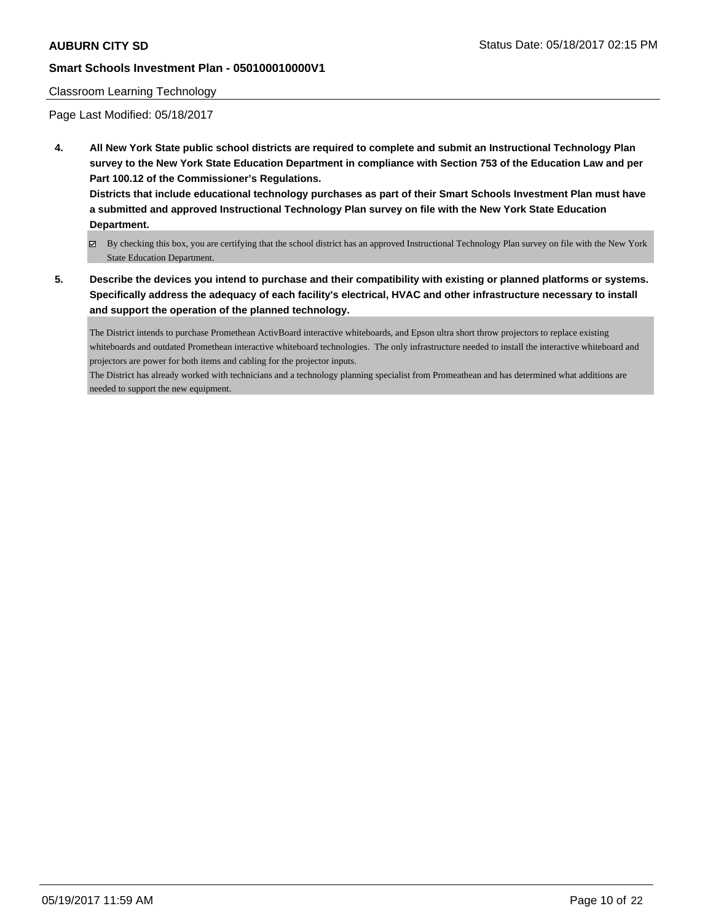### Classroom Learning Technology

Page Last Modified: 05/18/2017

**4. All New York State public school districts are required to complete and submit an Instructional Technology Plan survey to the New York State Education Department in compliance with Section 753 of the Education Law and per Part 100.12 of the Commissioner's Regulations.**

**Districts that include educational technology purchases as part of their Smart Schools Investment Plan must have a submitted and approved Instructional Technology Plan survey on file with the New York State Education Department.**

- By checking this box, you are certifying that the school district has an approved Instructional Technology Plan survey on file with the New York State Education Department.
- **5. Describe the devices you intend to purchase and their compatibility with existing or planned platforms or systems. Specifically address the adequacy of each facility's electrical, HVAC and other infrastructure necessary to install and support the operation of the planned technology.**

The District intends to purchase Promethean ActivBoard interactive whiteboards, and Epson ultra short throw projectors to replace existing whiteboards and outdated Promethean interactive whiteboard technologies. The only infrastructure needed to install the interactive whiteboard and projectors are power for both items and cabling for the projector inputs.

The District has already worked with technicians and a technology planning specialist from Promeathean and has determined what additions are needed to support the new equipment.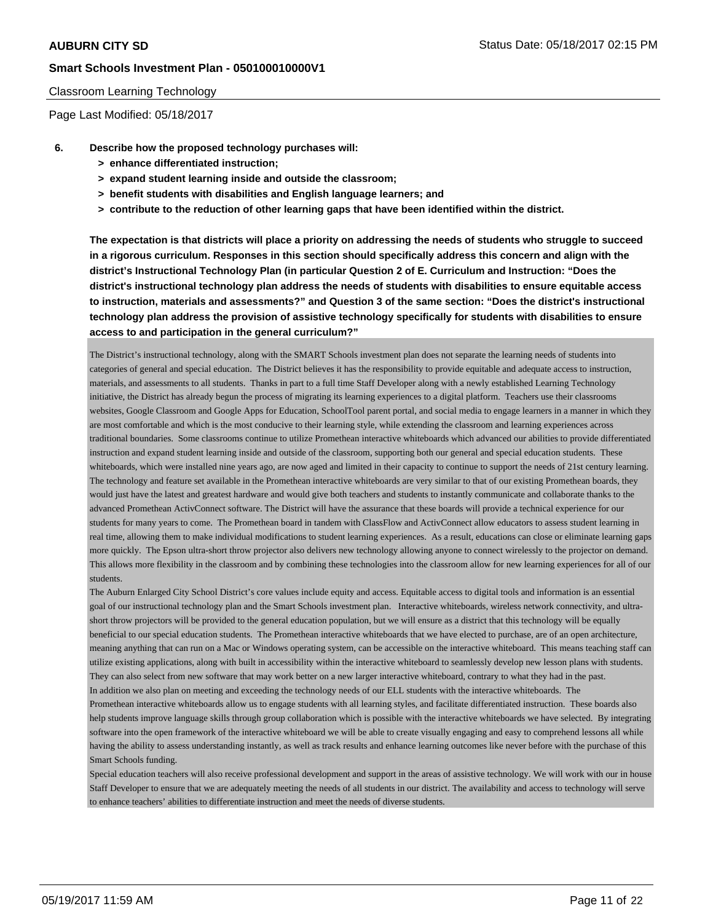#### Classroom Learning Technology

Page Last Modified: 05/18/2017

- **6. Describe how the proposed technology purchases will:**
	- **> enhance differentiated instruction;**
	- **> expand student learning inside and outside the classroom;**
	- **> benefit students with disabilities and English language learners; and**
	- **> contribute to the reduction of other learning gaps that have been identified within the district.**

**The expectation is that districts will place a priority on addressing the needs of students who struggle to succeed in a rigorous curriculum. Responses in this section should specifically address this concern and align with the district's Instructional Technology Plan (in particular Question 2 of E. Curriculum and Instruction: "Does the district's instructional technology plan address the needs of students with disabilities to ensure equitable access to instruction, materials and assessments?" and Question 3 of the same section: "Does the district's instructional technology plan address the provision of assistive technology specifically for students with disabilities to ensure access to and participation in the general curriculum?"**

The District's instructional technology, along with the SMART Schools investment plan does not separate the learning needs of students into categories of general and special education. The District believes it has the responsibility to provide equitable and adequate access to instruction, materials, and assessments to all students. Thanks in part to a full time Staff Developer along with a newly established Learning Technology initiative, the District has already begun the process of migrating its learning experiences to a digital platform. Teachers use their classrooms websites, Google Classroom and Google Apps for Education, SchoolTool parent portal, and social media to engage learners in a manner in which they are most comfortable and which is the most conducive to their learning style, while extending the classroom and learning experiences across traditional boundaries. Some classrooms continue to utilize Promethean interactive whiteboards which advanced our abilities to provide differentiated instruction and expand student learning inside and outside of the classroom, supporting both our general and special education students. These whiteboards, which were installed nine years ago, are now aged and limited in their capacity to continue to support the needs of 21st century learning. The technology and feature set available in the Promethean interactive whiteboards are very similar to that of our existing Promethean boards, they would just have the latest and greatest hardware and would give both teachers and students to instantly communicate and collaborate thanks to the advanced Promethean ActivConnect software. The District will have the assurance that these boards will provide a technical experience for our students for many years to come. The Promethean board in tandem with ClassFlow and ActivConnect allow educators to assess student learning in real time, allowing them to make individual modifications to student learning experiences. As a result, educations can close or eliminate learning gaps more quickly. The Epson ultra-short throw projector also delivers new technology allowing anyone to connect wirelessly to the projector on demand. This allows more flexibility in the classroom and by combining these technologies into the classroom allow for new learning experiences for all of our students.

The Auburn Enlarged City School District's core values include equity and access. Equitable access to digital tools and information is an essential goal of our instructional technology plan and the Smart Schools investment plan. Interactive whiteboards, wireless network connectivity, and ultrashort throw projectors will be provided to the general education population, but we will ensure as a district that this technology will be equally beneficial to our special education students. The Promethean interactive whiteboards that we have elected to purchase, are of an open architecture, meaning anything that can run on a Mac or Windows operating system, can be accessible on the interactive whiteboard. This means teaching staff can utilize existing applications, along with built in accessibility within the interactive whiteboard to seamlessly develop new lesson plans with students. They can also select from new software that may work better on a new larger interactive whiteboard, contrary to what they had in the past. In addition we also plan on meeting and exceeding the technology needs of our ELL students with the interactive whiteboards. The

Promethean interactive whiteboards allow us to engage students with all learning styles, and facilitate differentiated instruction. These boards also help students improve language skills through group collaboration which is possible with the interactive whiteboards we have selected. By integrating software into the open framework of the interactive whiteboard we will be able to create visually engaging and easy to comprehend lessons all while having the ability to assess understanding instantly, as well as track results and enhance learning outcomes like never before with the purchase of this Smart Schools funding.

Special education teachers will also receive professional development and support in the areas of assistive technology. We will work with our in house Staff Developer to ensure that we are adequately meeting the needs of all students in our district. The availability and access to technology will serve to enhance teachers' abilities to differentiate instruction and meet the needs of diverse students.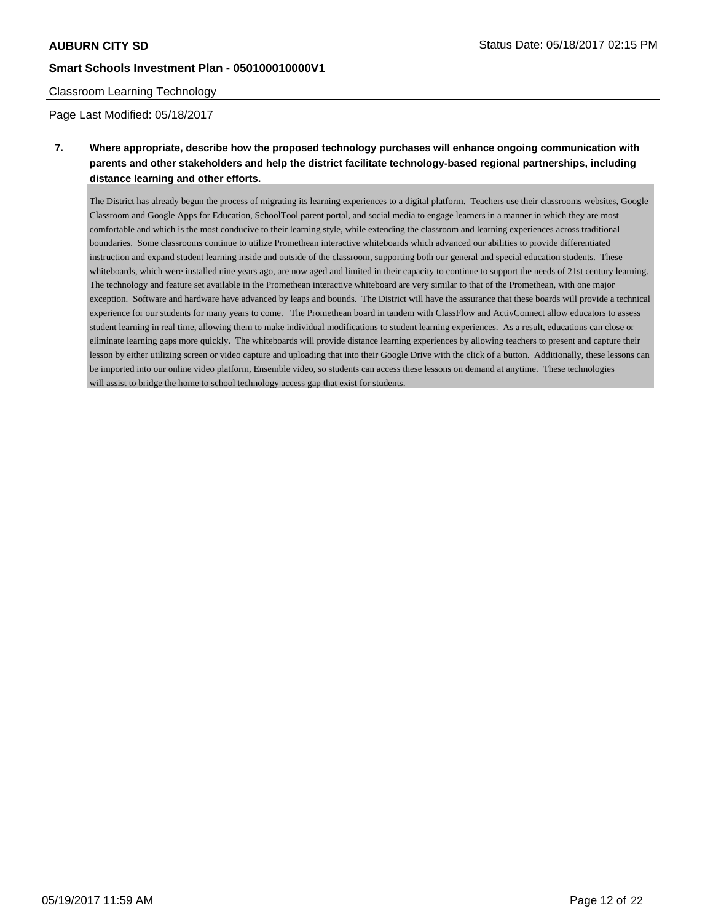#### Classroom Learning Technology

Page Last Modified: 05/18/2017

# **7. Where appropriate, describe how the proposed technology purchases will enhance ongoing communication with parents and other stakeholders and help the district facilitate technology-based regional partnerships, including distance learning and other efforts.**

The District has already begun the process of migrating its learning experiences to a digital platform. Teachers use their classrooms websites, Google Classroom and Google Apps for Education, SchoolTool parent portal, and social media to engage learners in a manner in which they are most comfortable and which is the most conducive to their learning style, while extending the classroom and learning experiences across traditional boundaries. Some classrooms continue to utilize Promethean interactive whiteboards which advanced our abilities to provide differentiated instruction and expand student learning inside and outside of the classroom, supporting both our general and special education students. These whiteboards, which were installed nine years ago, are now aged and limited in their capacity to continue to support the needs of 21st century learning. The technology and feature set available in the Promethean interactive whiteboard are very similar to that of the Promethean, with one major exception. Software and hardware have advanced by leaps and bounds. The District will have the assurance that these boards will provide a technical experience for our students for many years to come. The Promethean board in tandem with ClassFlow and ActivConnect allow educators to assess student learning in real time, allowing them to make individual modifications to student learning experiences. As a result, educations can close or eliminate learning gaps more quickly. The whiteboards will provide distance learning experiences by allowing teachers to present and capture their lesson by either utilizing screen or video capture and uploading that into their Google Drive with the click of a button. Additionally, these lessons can be imported into our online video platform, Ensemble video, so students can access these lessons on demand at anytime. These technologies will assist to bridge the home to school technology access gap that exist for students.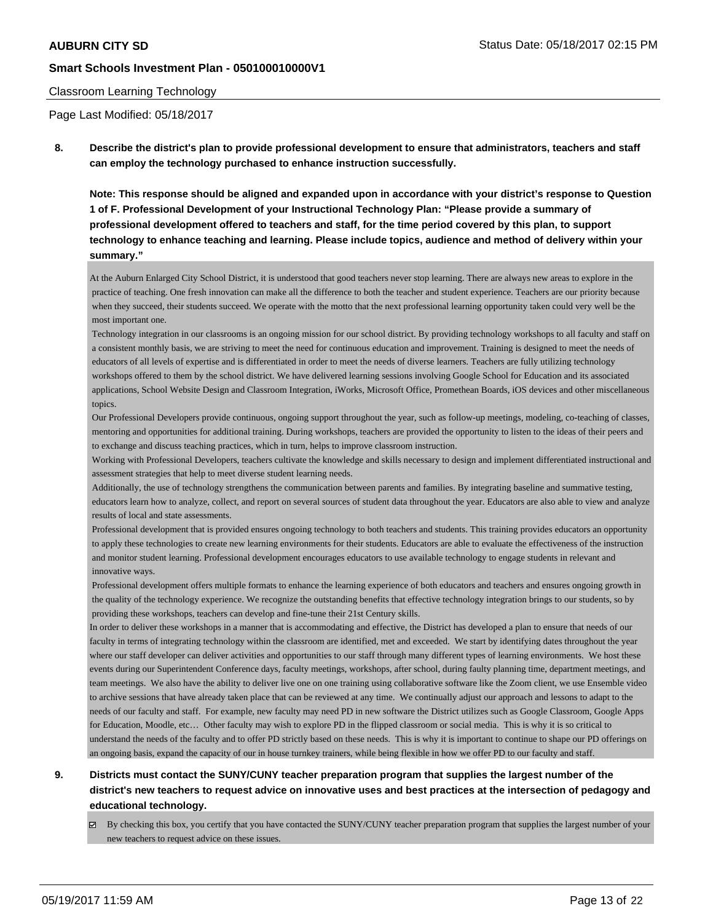#### Classroom Learning Technology

Page Last Modified: 05/18/2017

**8. Describe the district's plan to provide professional development to ensure that administrators, teachers and staff can employ the technology purchased to enhance instruction successfully.**

**Note: This response should be aligned and expanded upon in accordance with your district's response to Question 1 of F. Professional Development of your Instructional Technology Plan: "Please provide a summary of professional development offered to teachers and staff, for the time period covered by this plan, to support technology to enhance teaching and learning. Please include topics, audience and method of delivery within your summary."**

At the Auburn Enlarged City School District, it is understood that good teachers never stop learning. There are always new areas to explore in the practice of teaching. One fresh innovation can make all the difference to both the teacher and student experience. Teachers are our priority because when they succeed, their students succeed. We operate with the motto that the next professional learning opportunity taken could very well be the most important one.

 Technology integration in our classrooms is an ongoing mission for our school district. By providing technology workshops to all faculty and staff on a consistent monthly basis, we are striving to meet the need for continuous education and improvement. Training is designed to meet the needs of educators of all levels of expertise and is differentiated in order to meet the needs of diverse learners. Teachers are fully utilizing technology workshops offered to them by the school district. We have delivered learning sessions involving Google School for Education and its associated applications, School Website Design and Classroom Integration, iWorks, Microsoft Office, Promethean Boards, iOS devices and other miscellaneous topics.

 Our Professional Developers provide continuous, ongoing support throughout the year, such as follow-up meetings, modeling, co-teaching of classes, mentoring and opportunities for additional training. During workshops, teachers are provided the opportunity to listen to the ideas of their peers and to exchange and discuss teaching practices, which in turn, helps to improve classroom instruction.

 Working with Professional Developers, teachers cultivate the knowledge and skills necessary to design and implement differentiated instructional and assessment strategies that help to meet diverse student learning needs.

 Additionally, the use of technology strengthens the communication between parents and families. By integrating baseline and summative testing, educators learn how to analyze, collect, and report on several sources of student data throughout the year. Educators are also able to view and analyze results of local and state assessments.

Professional development that is provided ensures ongoing technology to both teachers and students. This training provides educators an opportunity to apply these technologies to create new learning environments for their students. Educators are able to evaluate the effectiveness of the instruction and monitor student learning. Professional development encourages educators to use available technology to engage students in relevant and innovative ways.

 Professional development offers multiple formats to enhance the learning experience of both educators and teachers and ensures ongoing growth in the quality of the technology experience. We recognize the outstanding benefits that effective technology integration brings to our students, so by providing these workshops, teachers can develop and fine-tune their 21st Century skills.

In order to deliver these workshops in a manner that is accommodating and effective, the District has developed a plan to ensure that needs of our faculty in terms of integrating technology within the classroom are identified, met and exceeded. We start by identifying dates throughout the year where our staff developer can deliver activities and opportunities to our staff through many different types of learning environments. We host these events during our Superintendent Conference days, faculty meetings, workshops, after school, during faulty planning time, department meetings, and team meetings. We also have the ability to deliver live one on one training using collaborative software like the Zoom client, we use Ensemble video to archive sessions that have already taken place that can be reviewed at any time. We continually adjust our approach and lessons to adapt to the needs of our faculty and staff. For example, new faculty may need PD in new software the District utilizes such as Google Classroom, Google Apps for Education, Moodle, etc… Other faculty may wish to explore PD in the flipped classroom or social media. This is why it is so critical to understand the needs of the faculty and to offer PD strictly based on these needs. This is why it is important to continue to shape our PD offerings on an ongoing basis, expand the capacity of our in house turnkey trainers, while being flexible in how we offer PD to our faculty and staff.

# **9. Districts must contact the SUNY/CUNY teacher preparation program that supplies the largest number of the district's new teachers to request advice on innovative uses and best practices at the intersection of pedagogy and educational technology.**

By checking this box, you certify that you have contacted the SUNY/CUNY teacher preparation program that supplies the largest number of your new teachers to request advice on these issues.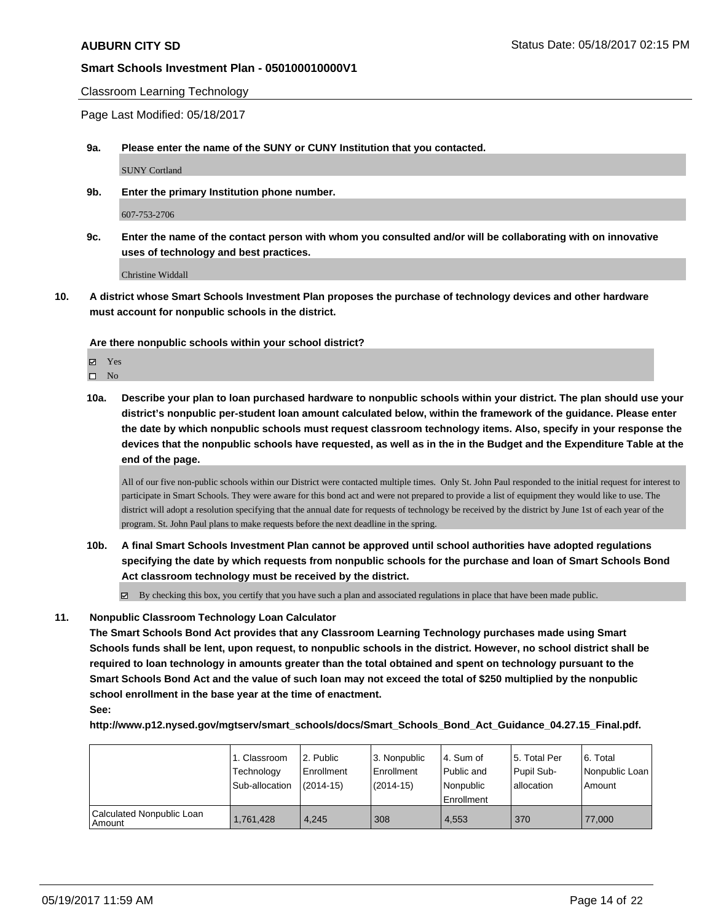Classroom Learning Technology

Page Last Modified: 05/18/2017

**9a. Please enter the name of the SUNY or CUNY Institution that you contacted.**

SUNY Cortland

**9b. Enter the primary Institution phone number.**

607-753-2706

**9c. Enter the name of the contact person with whom you consulted and/or will be collaborating with on innovative uses of technology and best practices.**

Christine Widdall

**10. A district whose Smart Schools Investment Plan proposes the purchase of technology devices and other hardware must account for nonpublic schools in the district.**

**Are there nonpublic schools within your school district?**

**Ø** Yes

 $\square$  No

**10a. Describe your plan to loan purchased hardware to nonpublic schools within your district. The plan should use your district's nonpublic per-student loan amount calculated below, within the framework of the guidance. Please enter the date by which nonpublic schools must request classroom technology items. Also, specify in your response the devices that the nonpublic schools have requested, as well as in the in the Budget and the Expenditure Table at the end of the page.**

All of our five non-public schools within our District were contacted multiple times. Only St. John Paul responded to the initial request for interest to participate in Smart Schools. They were aware for this bond act and were not prepared to provide a list of equipment they would like to use. The district will adopt a resolution specifying that the annual date for requests of technology be received by the district by June 1st of each year of the program. St. John Paul plans to make requests before the next deadline in the spring.

**10b. A final Smart Schools Investment Plan cannot be approved until school authorities have adopted regulations specifying the date by which requests from nonpublic schools for the purchase and loan of Smart Schools Bond Act classroom technology must be received by the district.**

By checking this box, you certify that you have such a plan and associated regulations in place that have been made public.

**11. Nonpublic Classroom Technology Loan Calculator**

**The Smart Schools Bond Act provides that any Classroom Learning Technology purchases made using Smart Schools funds shall be lent, upon request, to nonpublic schools in the district. However, no school district shall be required to loan technology in amounts greater than the total obtained and spent on technology pursuant to the Smart Schools Bond Act and the value of such loan may not exceed the total of \$250 multiplied by the nonpublic school enrollment in the base year at the time of enactment.**

### **See:**

**http://www.p12.nysed.gov/mgtserv/smart\_schools/docs/Smart\_Schools\_Bond\_Act\_Guidance\_04.27.15\_Final.pdf.**

|                                       | 1. Classroom                 | l 2. Public                 | 3. Nonpublic              | l 4. Sum of                             | 15. Total Per            | l 6. Total                   |
|---------------------------------------|------------------------------|-----------------------------|---------------------------|-----------------------------------------|--------------------------|------------------------------|
|                                       | Technology<br>Sub-allocation | l Enrollment<br>$(2014-15)$ | Enrollment<br>$(2014-15)$ | Public and<br>l Nonpublic<br>Enrollment | Pupil Sub-<br>allocation | Nonpublic Loan  <br>l Amount |
| Calculated Nonpublic Loan<br>l Amount | 1,761,428                    | 4.245                       | 308                       | 4,553                                   | 370                      | 77,000                       |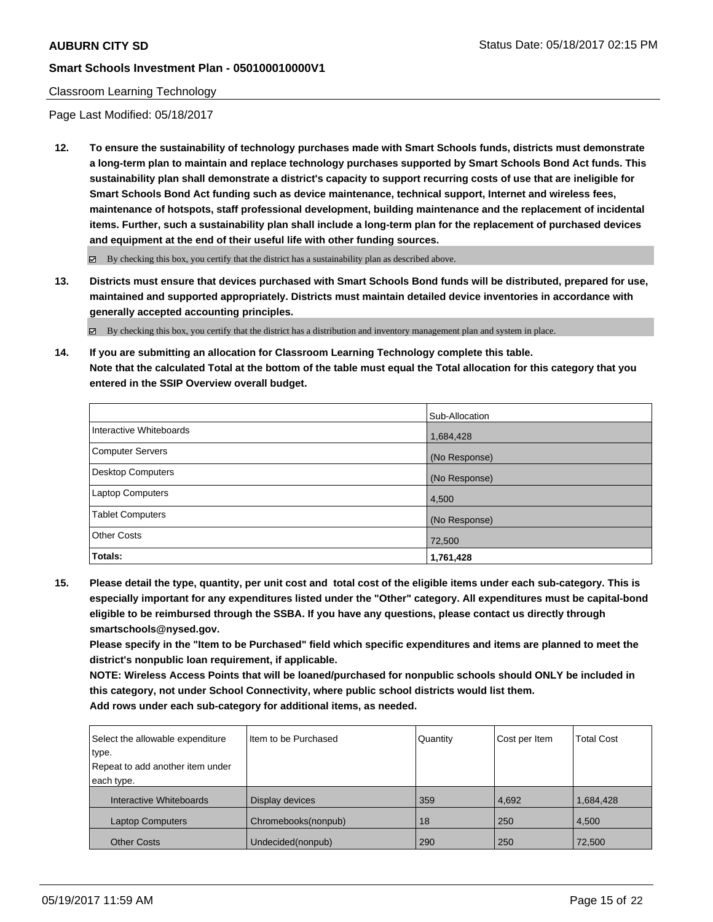### Classroom Learning Technology

Page Last Modified: 05/18/2017

**12. To ensure the sustainability of technology purchases made with Smart Schools funds, districts must demonstrate a long-term plan to maintain and replace technology purchases supported by Smart Schools Bond Act funds. This sustainability plan shall demonstrate a district's capacity to support recurring costs of use that are ineligible for Smart Schools Bond Act funding such as device maintenance, technical support, Internet and wireless fees, maintenance of hotspots, staff professional development, building maintenance and the replacement of incidental items. Further, such a sustainability plan shall include a long-term plan for the replacement of purchased devices and equipment at the end of their useful life with other funding sources.**

 $\boxtimes$  By checking this box, you certify that the district has a sustainability plan as described above.

**13. Districts must ensure that devices purchased with Smart Schools Bond funds will be distributed, prepared for use, maintained and supported appropriately. Districts must maintain detailed device inventories in accordance with generally accepted accounting principles.**

By checking this box, you certify that the district has a distribution and inventory management plan and system in place.

**14. If you are submitting an allocation for Classroom Learning Technology complete this table. Note that the calculated Total at the bottom of the table must equal the Total allocation for this category that you entered in the SSIP Overview overall budget.**

|                          | Sub-Allocation |
|--------------------------|----------------|
| Interactive Whiteboards  | 1,684,428      |
| Computer Servers         | (No Response)  |
| <b>Desktop Computers</b> | (No Response)  |
| <b>Laptop Computers</b>  | 4,500          |
| <b>Tablet Computers</b>  | (No Response)  |
| <b>Other Costs</b>       | 72,500         |
| Totals:                  | 1,761,428      |

**15. Please detail the type, quantity, per unit cost and total cost of the eligible items under each sub-category. This is especially important for any expenditures listed under the "Other" category. All expenditures must be capital-bond eligible to be reimbursed through the SSBA. If you have any questions, please contact us directly through smartschools@nysed.gov.**

**Please specify in the "Item to be Purchased" field which specific expenditures and items are planned to meet the district's nonpublic loan requirement, if applicable.**

**NOTE: Wireless Access Points that will be loaned/purchased for nonpublic schools should ONLY be included in this category, not under School Connectivity, where public school districts would list them. Add rows under each sub-category for additional items, as needed.**

| Select the allowable expenditure | Item to be Purchased | Quantity | Cost per Item | <b>Total Cost</b> |
|----------------------------------|----------------------|----------|---------------|-------------------|
| type.                            |                      |          |               |                   |
| Repeat to add another item under |                      |          |               |                   |
| each type.                       |                      |          |               |                   |
| Interactive Whiteboards          | Display devices      | 359      | 4,692         | 1,684,428         |
| <b>Laptop Computers</b>          | Chromebooks(nonpub)  | 18       | 250           | 4,500             |
| <b>Other Costs</b>               | Undecided(nonpub)    | 290      | 250           | 72,500            |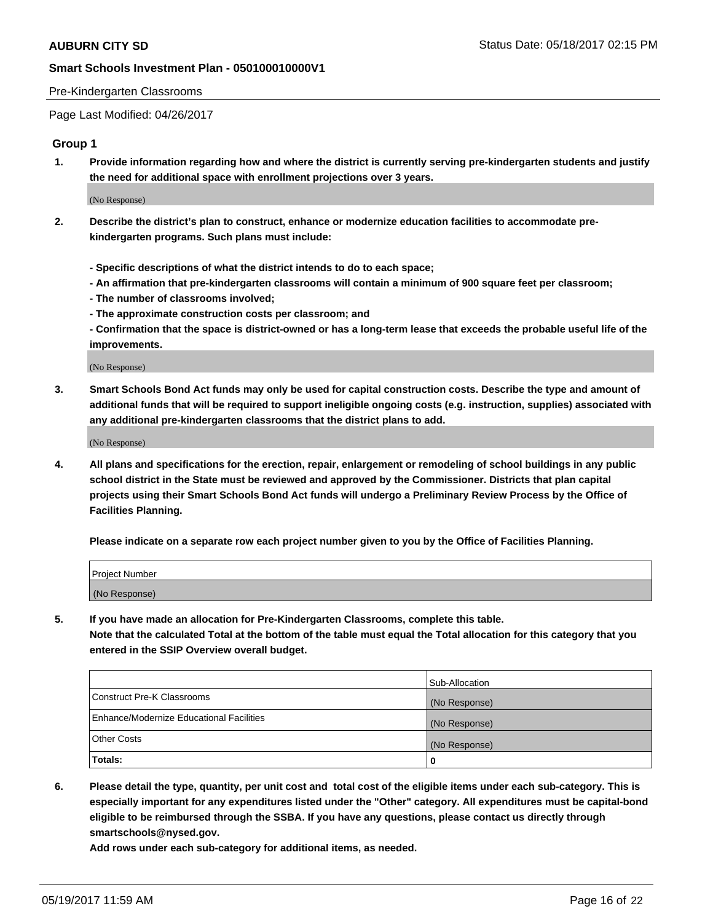#### Pre-Kindergarten Classrooms

Page Last Modified: 04/26/2017

## **Group 1**

**1. Provide information regarding how and where the district is currently serving pre-kindergarten students and justify the need for additional space with enrollment projections over 3 years.**

(No Response)

- **2. Describe the district's plan to construct, enhance or modernize education facilities to accommodate prekindergarten programs. Such plans must include:**
	- **Specific descriptions of what the district intends to do to each space;**
	- **An affirmation that pre-kindergarten classrooms will contain a minimum of 900 square feet per classroom;**
	- **The number of classrooms involved;**
	- **The approximate construction costs per classroom; and**
	- **Confirmation that the space is district-owned or has a long-term lease that exceeds the probable useful life of the improvements.**

(No Response)

**3. Smart Schools Bond Act funds may only be used for capital construction costs. Describe the type and amount of additional funds that will be required to support ineligible ongoing costs (e.g. instruction, supplies) associated with any additional pre-kindergarten classrooms that the district plans to add.**

(No Response)

**4. All plans and specifications for the erection, repair, enlargement or remodeling of school buildings in any public school district in the State must be reviewed and approved by the Commissioner. Districts that plan capital projects using their Smart Schools Bond Act funds will undergo a Preliminary Review Process by the Office of Facilities Planning.**

**Please indicate on a separate row each project number given to you by the Office of Facilities Planning.**

| Project Number |  |
|----------------|--|
| (No Response)  |  |

**5. If you have made an allocation for Pre-Kindergarten Classrooms, complete this table. Note that the calculated Total at the bottom of the table must equal the Total allocation for this category that you entered in the SSIP Overview overall budget.**

| Totals:                                  | 0              |
|------------------------------------------|----------------|
| Other Costs                              | (No Response)  |
| Enhance/Modernize Educational Facilities | (No Response)  |
| Construct Pre-K Classrooms               | (No Response)  |
|                                          | Sub-Allocation |

**6. Please detail the type, quantity, per unit cost and total cost of the eligible items under each sub-category. This is especially important for any expenditures listed under the "Other" category. All expenditures must be capital-bond eligible to be reimbursed through the SSBA. If you have any questions, please contact us directly through smartschools@nysed.gov.**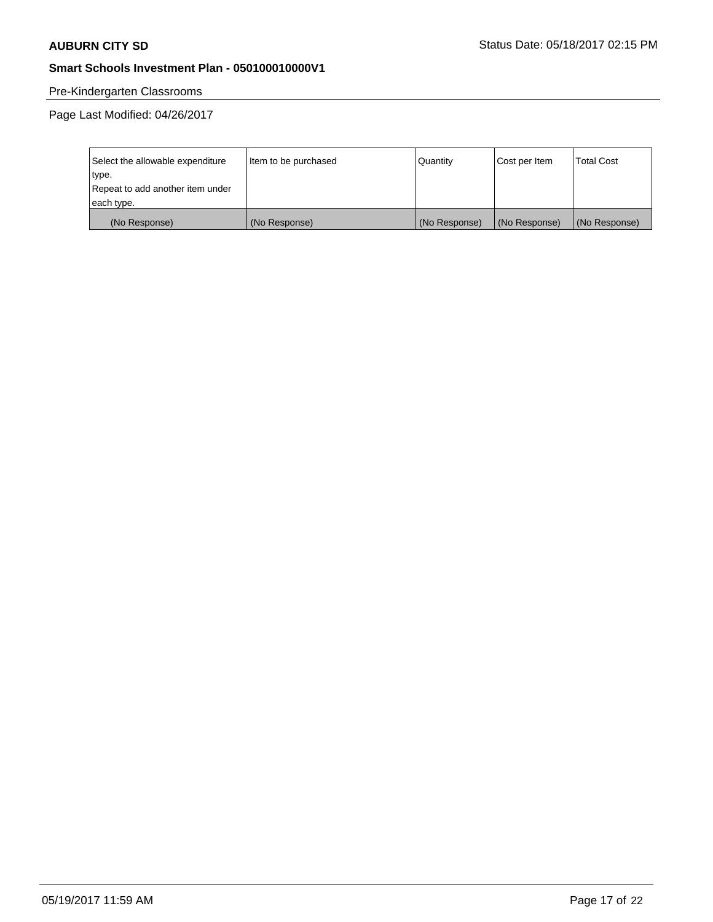# Pre-Kindergarten Classrooms

| Select the allowable expenditure | Item to be purchased | Quantity      | Cost per Item | <b>Total Cost</b> |
|----------------------------------|----------------------|---------------|---------------|-------------------|
| type.                            |                      |               |               |                   |
| Repeat to add another item under |                      |               |               |                   |
| each type.                       |                      |               |               |                   |
| (No Response)                    | (No Response)        | (No Response) | (No Response) | (No Response)     |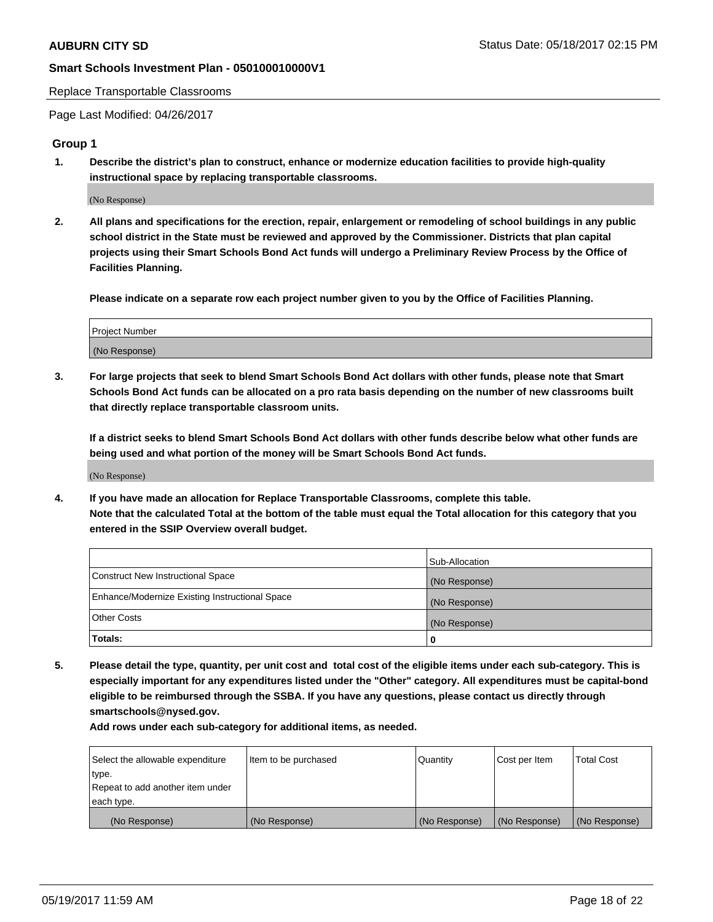#### Replace Transportable Classrooms

Page Last Modified: 04/26/2017

### **Group 1**

**1. Describe the district's plan to construct, enhance or modernize education facilities to provide high-quality instructional space by replacing transportable classrooms.**

(No Response)

**2. All plans and specifications for the erection, repair, enlargement or remodeling of school buildings in any public school district in the State must be reviewed and approved by the Commissioner. Districts that plan capital projects using their Smart Schools Bond Act funds will undergo a Preliminary Review Process by the Office of Facilities Planning.**

**Please indicate on a separate row each project number given to you by the Office of Facilities Planning.**

| Project Number |  |
|----------------|--|
| (No Response)  |  |

**3. For large projects that seek to blend Smart Schools Bond Act dollars with other funds, please note that Smart Schools Bond Act funds can be allocated on a pro rata basis depending on the number of new classrooms built that directly replace transportable classroom units.**

**If a district seeks to blend Smart Schools Bond Act dollars with other funds describe below what other funds are being used and what portion of the money will be Smart Schools Bond Act funds.**

(No Response)

**4. If you have made an allocation for Replace Transportable Classrooms, complete this table. Note that the calculated Total at the bottom of the table must equal the Total allocation for this category that you entered in the SSIP Overview overall budget.**

|                                                | Sub-Allocation |
|------------------------------------------------|----------------|
| Construct New Instructional Space              | (No Response)  |
| Enhance/Modernize Existing Instructional Space | (No Response)  |
| Other Costs                                    | (No Response)  |
| Totals:                                        | $\Omega$       |

**5. Please detail the type, quantity, per unit cost and total cost of the eligible items under each sub-category. This is especially important for any expenditures listed under the "Other" category. All expenditures must be capital-bond eligible to be reimbursed through the SSBA. If you have any questions, please contact us directly through smartschools@nysed.gov.**

| Select the allowable expenditure | Item to be purchased | Quantity      | Cost per Item | <b>Total Cost</b> |
|----------------------------------|----------------------|---------------|---------------|-------------------|
| type.                            |                      |               |               |                   |
| Repeat to add another item under |                      |               |               |                   |
| each type.                       |                      |               |               |                   |
| (No Response)                    | (No Response)        | (No Response) | (No Response) | (No Response)     |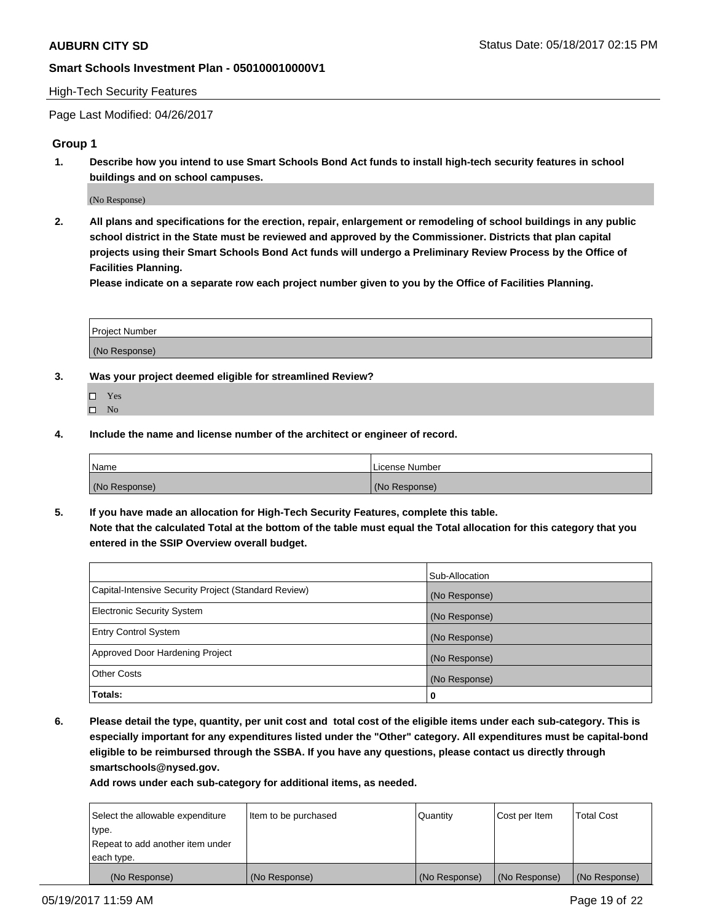#### High-Tech Security Features

Page Last Modified: 04/26/2017

## **Group 1**

**1. Describe how you intend to use Smart Schools Bond Act funds to install high-tech security features in school buildings and on school campuses.**

(No Response)

**2. All plans and specifications for the erection, repair, enlargement or remodeling of school buildings in any public school district in the State must be reviewed and approved by the Commissioner. Districts that plan capital projects using their Smart Schools Bond Act funds will undergo a Preliminary Review Process by the Office of Facilities Planning.** 

**Please indicate on a separate row each project number given to you by the Office of Facilities Planning.**

| Project Number |  |
|----------------|--|
|                |  |
| (No Response)  |  |

- **3. Was your project deemed eligible for streamlined Review?**
	- Yes  $\hfill \square$  No
- **4. Include the name and license number of the architect or engineer of record.**

| Name          | License Number |
|---------------|----------------|
| (No Response) | (No Response)  |

**5. If you have made an allocation for High-Tech Security Features, complete this table. Note that the calculated Total at the bottom of the table must equal the Total allocation for this category that you entered in the SSIP Overview overall budget.**

|                                                      | Sub-Allocation |
|------------------------------------------------------|----------------|
| Capital-Intensive Security Project (Standard Review) | (No Response)  |
| Electronic Security System                           | (No Response)  |
| <b>Entry Control System</b>                          | (No Response)  |
| Approved Door Hardening Project                      | (No Response)  |
| <b>Other Costs</b>                                   | (No Response)  |
| Totals:                                              | 0              |

**6. Please detail the type, quantity, per unit cost and total cost of the eligible items under each sub-category. This is especially important for any expenditures listed under the "Other" category. All expenditures must be capital-bond eligible to be reimbursed through the SSBA. If you have any questions, please contact us directly through smartschools@nysed.gov.**

| (No Response)                    | (No Response)        | (No Response) | (No Response) | (No Response)     |
|----------------------------------|----------------------|---------------|---------------|-------------------|
| each type.                       |                      |               |               |                   |
| Repeat to add another item under |                      |               |               |                   |
| type.                            |                      |               |               |                   |
| Select the allowable expenditure | Item to be purchased | Quantity      | Cost per Item | <b>Total Cost</b> |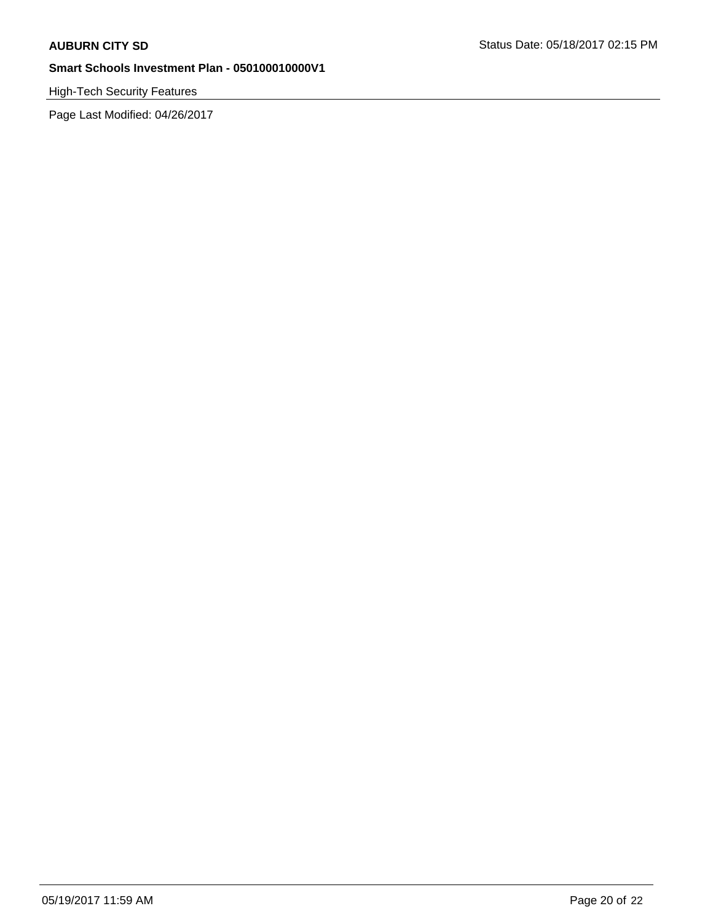High-Tech Security Features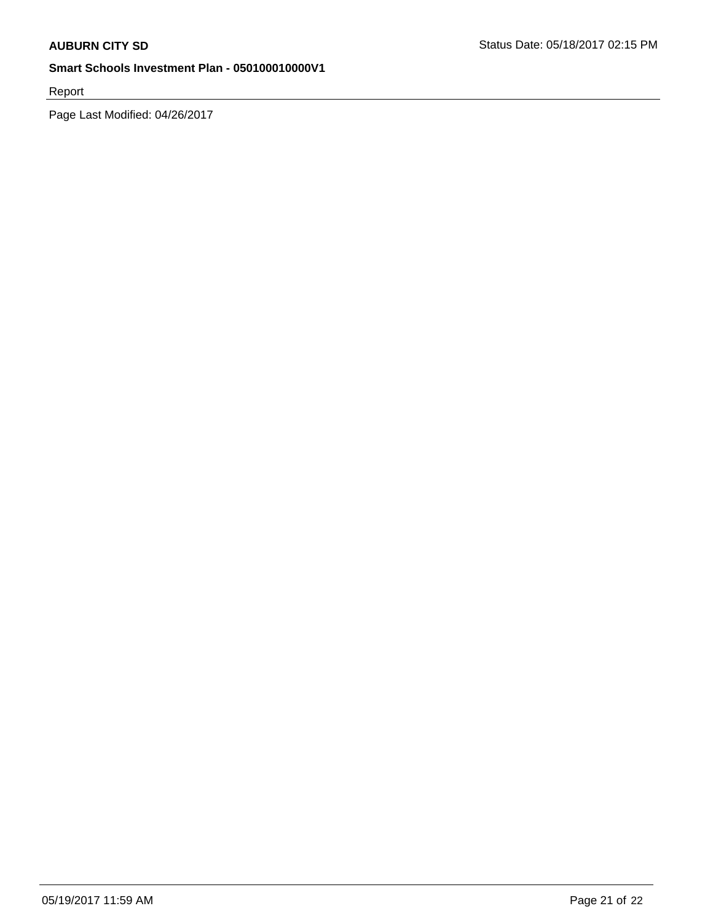Report